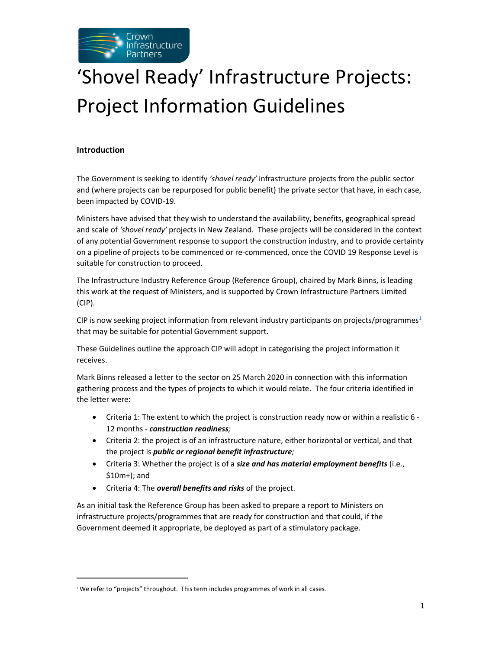

# 'Shovel Ready' Infrastructure Projects: Project Information Guidelines

## Introduction

The Government is seeking to identify 'shovel ready' infrastructure projects from the public sector and (where projects can be repurposed for public benefit) the private sector that have, in each case, been impacted by COVID-19.

Ministers have advised that they wish to understand the availability, benefits, geographical spread and scale of 'shovel ready' projects in New Zealand. These projects will be considered in the context of any potential Government response to support the construction industry, and to provide certainty on a pipeline of projects to be commenced or re-commenced, once the COVID 19 Response Level is suitable for construction to proceed.

The Infrastructure Industry Reference Group (Reference Group), chaired by Mark Binns, is leading this work at the request of Ministers, and is supported by Crown Infrastructure Partners Limited (CIP).

CIP is now seeking project information from relevant industry participants on projects/programmes<sup>1</sup> that may be suitable for potential Government support.

These Guidelines outline the approach CIP will adopt in categorising the project information it receives.

Mark Binns released a letter to the sector on 25 March 2020 in connection with this information gathering process and the types of projects to which it would relate. The four criteria identified in the letter were:

- Criteria 1: The extent to which the project is construction ready now or within a realistic 6 12 months - construction readiness;
- Criteria 2: the project is of an infrastructure nature, either horizontal or vertical, and that the project is public or regional benefit infrastructure;
- Criteria 3: Whether the project is of a size and has material employment benefits (i.e., \$10m+); and
- Criteria 4: The *overall benefits and risks* of the project.

As an initial task the Reference Group has been asked to prepare a report to Ministers on infrastructure projects/programmes that are ready for construction and that could, if the Government deemed it appropriate, be deployed as part of a stimulatory package.

 $1$  We refer to "projects" throughout. This term includes programmes of work in all cases.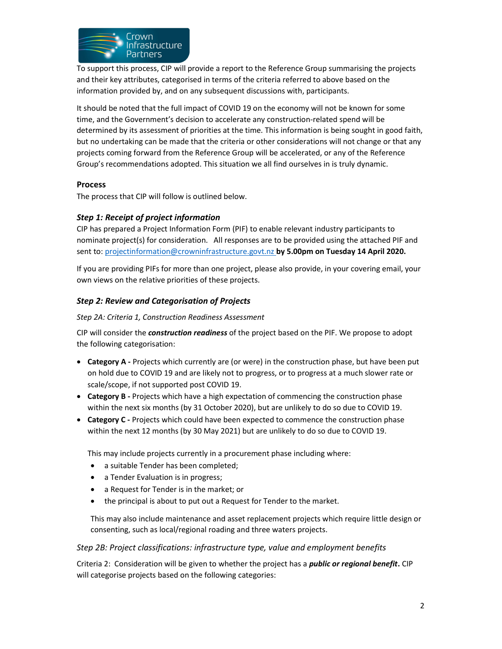

To support this process, CIP will provide a report to the Reference Group summarising the projects and their key attributes, categorised in terms of the criteria referred to above based on the information provided by, and on any subsequent discussions with, participants.

It should be noted that the full impact of COVID 19 on the economy will not be known for some time, and the Government's decision to accelerate any construction-related spend will be determined by its assessment of priorities at the time. This information is being sought in good faith, but no undertaking can be made that the criteria or other considerations will not change or that any projects coming forward from the Reference Group will be accelerated, or any of the Reference Group's recommendations adopted. This situation we all find ourselves in is truly dynamic.

## Process

The process that CIP will follow is outlined below.

## Step 1: Receipt of project information

CIP has prepared a Project Information Form (PIF) to enable relevant industry participants to nominate project(s) for consideration. All responses are to be provided using the attached PIF and sent to: projectinformation@crowninfrastructure.govt.nz by 5.00pm on Tuesday 14 April 2020.

If you are providing PIFs for more than one project, please also provide, in your covering email, your own views on the relative priorities of these projects.

## Step 2: Review and Categorisation of Projects

## Step 2A: Criteria 1, Construction Readiness Assessment

CIP will consider the *construction readiness* of the project based on the PIF. We propose to adopt the following categorisation:

- Category A Projects which currently are (or were) in the construction phase, but have been put on hold due to COVID 19 and are likely not to progress, or to progress at a much slower rate or scale/scope, if not supported post COVID 19.
- Category B Projects which have a high expectation of commencing the construction phase within the next six months (by 31 October 2020), but are unlikely to do so due to COVID 19.
- Category C Projects which could have been expected to commence the construction phase within the next 12 months (by 30 May 2021) but are unlikely to do so due to COVID 19.

This may include projects currently in a procurement phase including where:

- a suitable Tender has been completed;
- a Tender Evaluation is in progress;
- a Request for Tender is in the market; or
- the principal is about to put out a Request for Tender to the market.

This may also include maintenance and asset replacement projects which require little design or consenting, such as local/regional roading and three waters projects.

## Step 2B: Project classifications: infrastructure type, value and employment benefits

Criteria 2: Consideration will be given to whether the project has a *public or regional benefit*. CIP will categorise projects based on the following categories: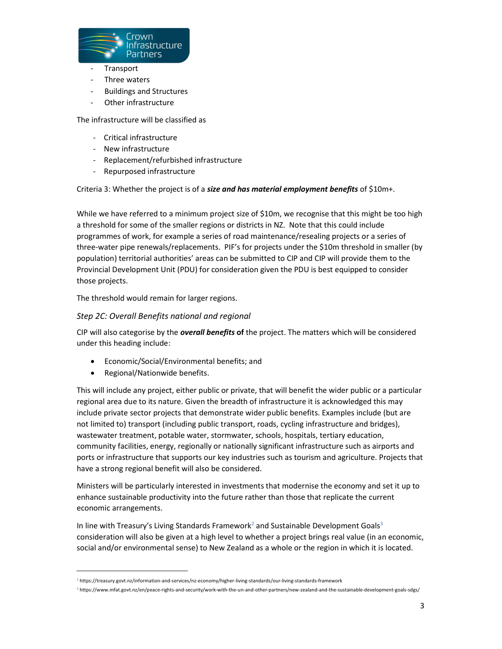

- **Transport**
- Three waters
- Buildings and Structures
- Other infrastructure

The infrastructure will be classified as

- Critical infrastructure
- New infrastructure
- Replacement/refurbished infrastructure
- Repurposed infrastructure

Criteria 3: Whether the project is of a size and has material employment benefits of \$10m+.

While we have referred to a minimum project size of \$10m, we recognise that this might be too high a threshold for some of the smaller regions or districts in NZ. Note that this could include programmes of work, for example a series of road maintenance/resealing projects or a series of three-water pipe renewals/replacements. PIF's for projects under the \$10m threshold in smaller (by population) territorial authorities' areas can be submitted to CIP and CIP will provide them to the Provincial Development Unit (PDU) for consideration given the PDU is best equipped to consider those projects.

The threshold would remain for larger regions.

## Step 2C: Overall Benefits national and regional

CIP will also categorise by the overall benefits of the project. The matters which will be considered under this heading include:

- Economic/Social/Environmental benefits; and
- Regional/Nationwide benefits.

This will include any project, either public or private, that will benefit the wider public or a particular regional area due to its nature. Given the breadth of infrastructure it is acknowledged this may include private sector projects that demonstrate wider public benefits. Examples include (but are not limited to) transport (including public transport, roads, cycling infrastructure and bridges), wastewater treatment, potable water, stormwater, schools, hospitals, tertiary education, community facilities, energy, regionally or nationally significant infrastructure such as airports and ports or infrastructure that supports our key industries such as tourism and agriculture. Projects that have a strong regional benefit will also be considered.

Ministers will be particularly interested in investments that modernise the economy and set it up to enhance sustainable productivity into the future rather than those that replicate the current economic arrangements.

In line with Treasury's Living Standards Framework<sup>2</sup> and Sustainable Development Goals<sup>3</sup> consideration will also be given at a high level to whether a project brings real value (in an economic, social and/or environmental sense) to New Zealand as a whole or the region in which it is located.

<sup>2</sup> https://treasury.govt.nz/information-and-services/nz-economy/higher-living-standards/our-living-standards-framework

<sup>3</sup> https://www.mfat.govt.nz/en/peace-rights-and-security/work-with-the-un-and-other-partners/new-zealand-and-the-sustainable-development-goals-sdgs/